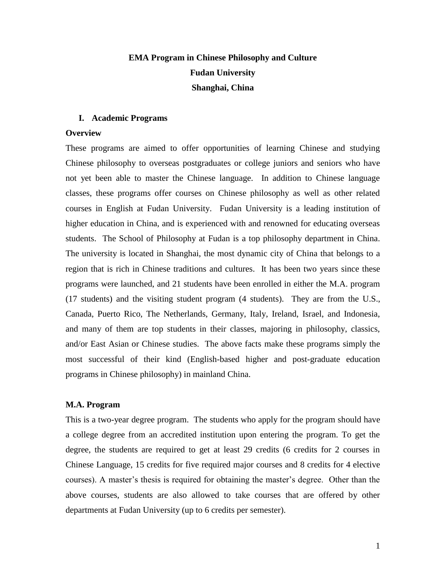# **EMA Program in Chinese Philosophy and Culture Fudan University Shanghai, China**

## **I. Academic Programs**

## **Overview**

These programs are aimed to offer opportunities of learning Chinese and studying Chinese philosophy to overseas postgraduates or college juniors and seniors who have not yet been able to master the Chinese language. In addition to Chinese language classes, these programs offer courses on Chinese philosophy as well as other related courses in English at Fudan University. Fudan University is a leading institution of higher education in China, and is experienced with and renowned for educating overseas students. The School of Philosophy at Fudan is a top philosophy department in China. The university is located in Shanghai, the most dynamic city of China that belongs to a region that is rich in Chinese traditions and cultures. It has been two years since these programs were launched, and 21 students have been enrolled in either the M.A. program (17 students) and the visiting student program (4 students). They are from the U.S., Canada, Puerto Rico, The Netherlands, Germany, Italy, Ireland, Israel, and Indonesia, and many of them are top students in their classes, majoring in philosophy, classics, and/or East Asian or Chinese studies. The above facts make these programs simply the most successful of their kind (English-based higher and post-graduate education programs in Chinese philosophy) in mainland China.

## **M.A. Program**

This is a two-year degree program. The students who apply for the program should have a college degree from an accredited institution upon entering the program. To get the degree, the students are required to get at least 29 credits (6 credits for 2 courses in Chinese Language, 15 credits for five required major courses and 8 credits for 4 elective courses). A master's thesis is required for obtaining the master's degree. Other than the above courses, students are also allowed to take courses that are offered by other departments at Fudan University (up to 6 credits per semester).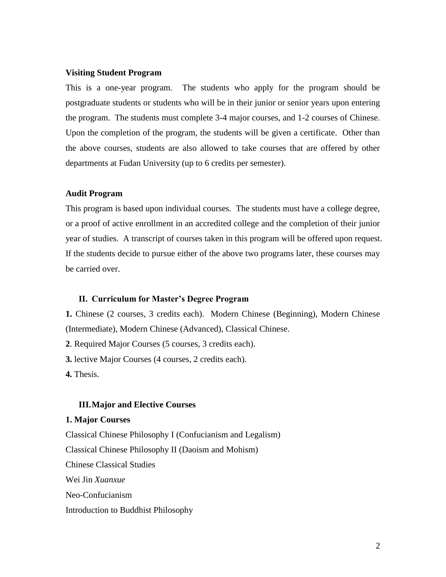#### **Visiting Student Program**

This is a one-year program. The students who apply for the program should be postgraduate students or students who will be in their junior or senior years upon entering the program. The students must complete 3-4 major courses, and 1-2 courses of Chinese. Upon the completion of the program, the students will be given a certificate. Other than the above courses, students are also allowed to take courses that are offered by other departments at Fudan University (up to 6 credits per semester).

## **Audit Program**

This program is based upon individual courses. The students must have a college degree, or a proof of active enrollment in an accredited college and the completion of their junior year of studies. A transcript of courses taken in this program will be offered upon request. If the students decide to pursue either of the above two programs later, these courses may be carried over.

## **II. Curriculum for Master's Degree Program**

**1.** Chinese (2 courses, 3 credits each). Modern Chinese (Beginning), Modern Chinese (Intermediate), Modern Chinese (Advanced), Classical Chinese.

**2**. Required Major Courses (5 courses, 3 credits each).

**3.** lective Major Courses (4 courses, 2 credits each).

**4.** Thesis.

# **III.Major and Elective Courses**

## **1. Major Courses**

Classical Chinese Philosophy I (Confucianism and Legalism) Classical Chinese Philosophy II (Daoism and Mohism) Chinese Classical Studies Wei Jin *Xuanxue* Neo-Confucianism Introduction to Buddhist Philosophy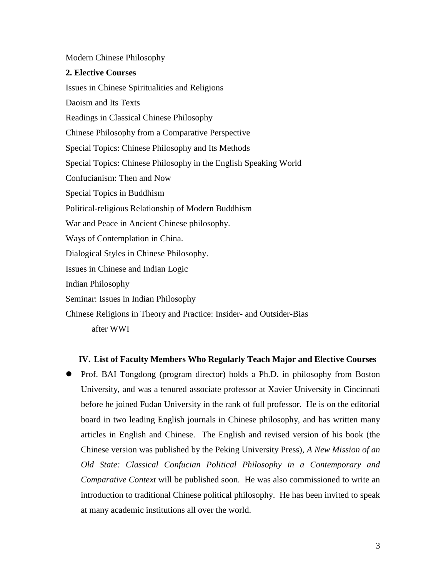## Modern Chinese Philosophy

## **2. Elective Courses**

Issues in Chinese Spiritualities and Religions Daoism and Its Texts Readings in Classical Chinese Philosophy Chinese Philosophy from a Comparative Perspective Special Topics: Chinese Philosophy and Its Methods Special Topics: Chinese Philosophy in the English Speaking World Confucianism: Then and Now Special Topics in Buddhism Political-religious Relationship of Modern Buddhism War and Peace in Ancient Chinese philosophy. Ways of Contemplation in China. Dialogical Styles in Chinese Philosophy. Issues in Chinese and Indian Logic Indian Philosophy Seminar: Issues in Indian Philosophy Chinese Religions in Theory and Practice: Insider- and Outsider-Bias

after WWI

## **IV. List of Faculty Members Who Regularly Teach Major and Elective Courses**

• Prof. BAI Tongdong (program director) holds a Ph.D. in philosophy from Boston University, and was a tenured associate professor at Xavier University in Cincinnati before he joined Fudan University in the rank of full professor. He is on the editorial board in two leading English journals in Chinese philosophy, and has written many articles in English and Chinese. The English and revised version of his book (the Chinese version was published by the Peking University Press), *A New Mission of an Old State: Classical Confucian Political Philosophy in a Contemporary and Comparative Context* will be published soon. He was also commissioned to write an introduction to traditional Chinese political philosophy. He has been invited to speak at many academic institutions all over the world.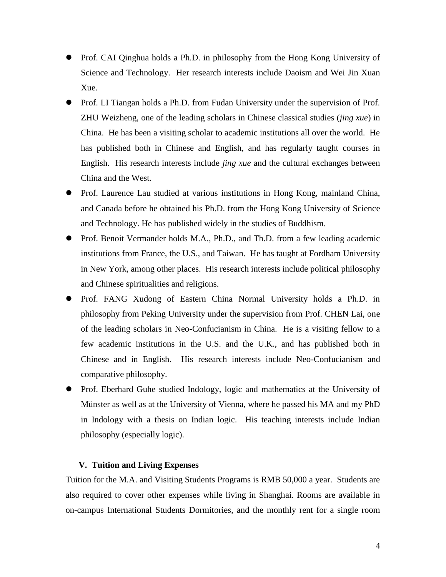- Prof. CAI Qinghua holds a Ph.D. in philosophy from the Hong Kong University of Science and Technology. Her research interests include Daoism and Wei Jin Xuan Xue.
- Prof. LI Tiangan holds a Ph.D. from Fudan University under the supervision of Prof. ZHU Weizheng, one of the leading scholars in Chinese classical studies (*jing xue*) in China. He has been a visiting scholar to academic institutions all over the world. He has published both in Chinese and English, and has regularly taught courses in English. His research interests include *jing xue* and the cultural exchanges between China and the West.
- Prof. Laurence Lau studied at various institutions in Hong Kong, mainland China, and Canada before he obtained his Ph.D. from the Hong Kong University of Science and Technology. He has published widely in the studies of Buddhism.
- Prof. Benoit Vermander holds M.A., Ph.D., and Th.D. from a few leading academic institutions from France, the U.S., and Taiwan. He has taught at Fordham University in New York, among other places. His research interests include political philosophy and Chinese spiritualities and religions.
- Prof. FANG Xudong of Eastern China Normal University holds a Ph.D. in philosophy from Peking University under the supervision from Prof. CHEN Lai, one of the leading scholars in Neo-Confucianism in China. He is a visiting fellow to a few academic institutions in the U.S. and the U.K., and has published both in Chinese and in English. His research interests include Neo-Confucianism and comparative philosophy.
- Prof. Eberhard Guhe studied Indology, logic and mathematics at the University of Münster as well as at the University of Vienna, where he passed his MA and my PhD in Indology with a thesis on Indian logic. His teaching interests include Indian philosophy (especially logic).

## **V. Tuition and Living Expenses**

Tuition for the M.A. and Visiting Students Programs is RMB 50,000 a year. Students are also required to cover other expenses while living in Shanghai. Rooms are available in on-campus International Students Dormitories, and the monthly rent for a single room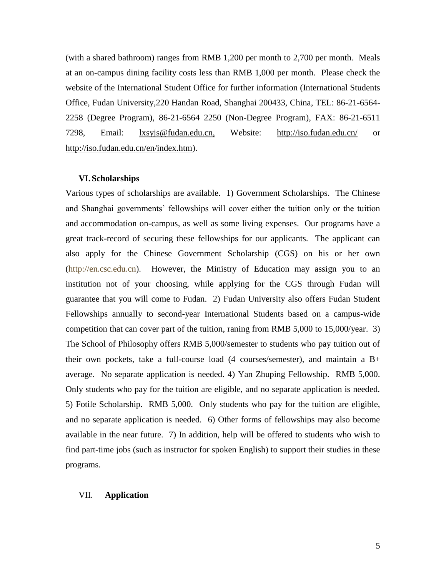(with a shared bathroom) ranges from RMB 1,200 per month to 2,700 per month. Meals at an on-campus dining facility costs less than RMB 1,000 per month. Please check the website of the International Student Office for further information (International Students Office, Fudan University,220 Handan Road, Shanghai 200433, China, TEL: 86-21-6564- 2258 (Degree Program), 86-21-6564 2250 (Non-Degree Program), FAX: 86-21-6511 7298, Email: [lxsyjs@fudan.edu.cn,](mailto:iso@fudan.edu.cn) Website: <http://iso.fudan.edu.cn/> or [http://iso.fudan.edu.cn/en/index.htm\)](http://iso.fudan.edu.cn/en/index.htm).

#### **VI.Scholarships**

Various types of scholarships are available. 1) Government Scholarships. The Chinese and Shanghai governments' fellowships will cover either the tuition only or the tuition and accommodation on-campus, as well as some living expenses. Our programs have a great track-record of securing these fellowships for our applicants. The applicant can also apply for the Chinese Government Scholarship (CGS) on his or her own [\(http://en.csc.edu.cn\)](http://en.csc.edu.cn/). However, the Ministry of Education may assign you to an institution not of your choosing, while applying for the CGS through Fudan will guarantee that you will come to Fudan. 2) Fudan University also offers Fudan Student Fellowships annually to second-year International Students based on a campus-wide competition that can cover part of the tuition, raning from RMB 5,000 to 15,000/year. 3) The School of Philosophy offers RMB 5,000/semester to students who pay tuition out of their own pockets, take a full-course load (4 courses/semester), and maintain a B+ average. No separate application is needed. 4) Yan Zhuping Fellowship. RMB 5,000. Only students who pay for the tuition are eligible, and no separate application is needed. 5) Fotile Scholarship. RMB 5,000. Only students who pay for the tuition are eligible, and no separate application is needed. 6) Other forms of fellowships may also become available in the near future. 7) In addition, help will be offered to students who wish to find part-time jobs (such as instructor for spoken English) to support their studies in these programs.

## VII. **Application**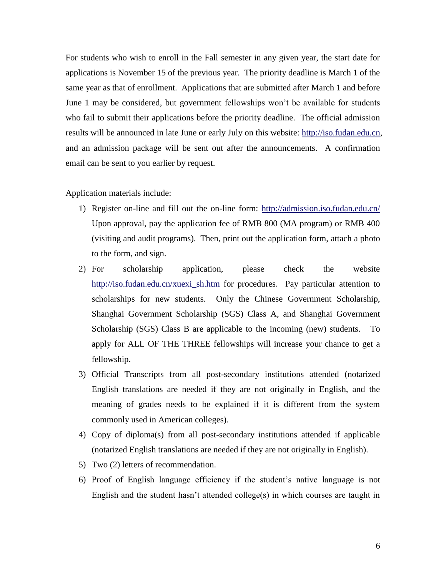For students who wish to enroll in the Fall semester in any given year, the start date for applications is November 15 of the previous year. The priority deadline is March 1 of the same year as that of enrollment. Applications that are submitted after March 1 and before June 1 may be considered, but government fellowships won't be available for students who fail to submit their applications before the priority deadline. The official admission results will be announced in late June or early July on this website: [http://iso.fudan.edu.cn,](http://iso.fudan.edu.cn/) and an admission package will be sent out after the announcements. A confirmation email can be sent to you earlier by request.

## Application materials include:

- 1) Register on-line and fill out the on-line form: <http://admission.iso.fudan.edu.cn/> Upon approval, pay the application fee of RMB 800 (MA program) or RMB 400 (visiting and audit programs). Then, print out the application form, attach a photo to the form, and sign.
- 2) For scholarship application, please check the website [http://iso.fudan.edu.cn/xuexi\\_sh.htm](http://iso.fudan.edu.cn/xuexi_sh.htm) for procedures. Pay particular attention to scholarships for new students. Only the Chinese Government Scholarship, [Shanghai Government Scholarship \(SGS\) Class A,](http://iso.fudan.edu.cn/downloads/shgova.doc) and [Shanghai Government](http://iso.fudan.edu.cn/downloads/shgova.doc)  [Scholarship \(SGS\) Class B](http://iso.fudan.edu.cn/downloads/shgova.doc) are applicable to the incoming (new) students. To apply for ALL OF THE THREE fellowships will increase your chance to get a fellowship.
- 3) Official Transcripts from all post-secondary institutions attended (notarized English translations are needed if they are not originally in English, and the meaning of grades needs to be explained if it is different from the system commonly used in American colleges).
- 4) Copy of diploma(s) from all post-secondary institutions attended if applicable (notarized English translations are needed if they are not originally in English).
- 5) Two (2) letters of recommendation.
- 6) Proof of English language efficiency if the student's native language is not English and the student hasn't attended college(s) in which courses are taught in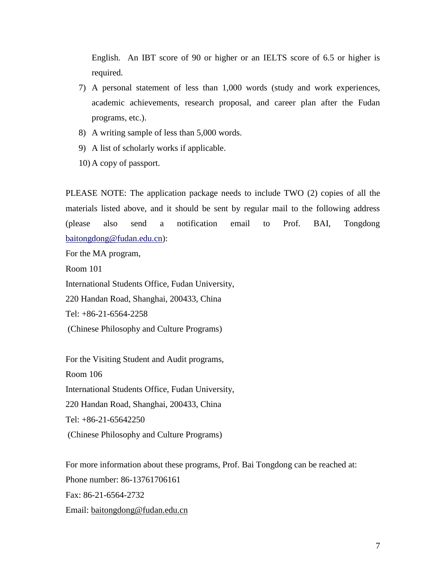English. An IBT score of 90 or higher or an IELTS score of 6.5 or higher is required.

- 7) A personal statement of less than 1,000 words (study and work experiences, academic achievements, research proposal, and career plan after the Fudan programs, etc.).
- 8) A writing sample of less than 5,000 words.
- 9) A list of scholarly works if applicable.
- 10) A copy of passport.

PLEASE NOTE: The application package needs to include TWO (2) copies of all the materials listed above, and it should be sent by regular mail to the following address (please also send a notification email to Prof. BAI, Tongdong [baitongdong@fudan.edu.cn\)](mailto:baitongdong@fudan.edu.cn):

For the MA program,

Room 101

International Students Office, Fudan University,

220 Handan Road, Shanghai, 200433, China

Tel: +86-21-6564-2258

(Chinese Philosophy and Culture Programs)

For the Visiting Student and Audit programs, Room 106 International Students Office, Fudan University, 220 Handan Road, Shanghai, 200433, China Tel: +86-21-65642250 (Chinese Philosophy and Culture Programs)

For more information about these programs, Prof. Bai Tongdong can be reached at: Phone number: 86-13761706161 Fax: 86-21-6564-2732 Email: [baitongdong@fudan.edu.cn](mailto:baitongdong@fudan.edu.cn)